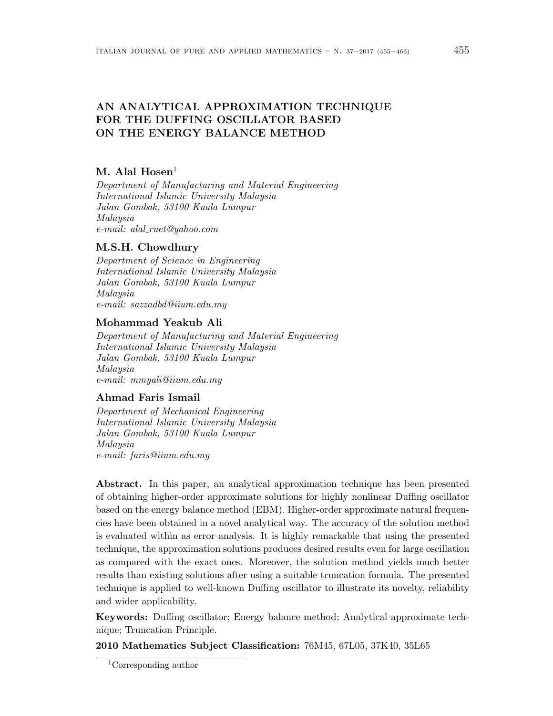# AN ANALYTICAL APPROXIMATION TECHNIQUE FOR THE DUFFING OSCILLATOR BASED ON THE ENERGY BALANCE METHOD

# $M.$  Alal Hosen<sup>1</sup>

Department of Manufacturing and Material Engineering International Islamic University Malaysia Jalan Gombak, 53100 Kuala Lumpur Malaysia e-mail: alal ruet@yahoo.com

# M.S.H. Chowdhury

Department of Science in Engineering International Islamic University Malaysia Jalan Gombak, 53100 Kuala Lumpur Malaysia e-mail: sazzadbd@iium.edu.my

# Mohammad Yeakub Ali

Department of Manufacturing and Material Engineering International Islamic University Malaysia Jalan Gombak, 53100 Kuala Lumpur Malaysia e-mail: mmyali@iium.edu.my

# Ahmad Faris Ismail

Department of Mechanical Engineering International Islamic University Malaysia Jalan Gombak, 53100 Kuala Lumpur Malaysia e-mail: faris@iium.edu.my

Abstract. In this paper, an analytical approximation technique has been presented of obtaining higher-order approximate solutions for highly nonlinear Duffing oscillator based on the energy balance method (EBM). Higher-order approximate natural frequencies have been obtained in a novel analytical way. The accuracy of the solution method is evaluated within as error analysis. It is highly remarkable that using the presented technique, the approximation solutions produces desired results even for large oscillation as compared with the exact ones. Moreover, the solution method yields much better results than existing solutions after using a suitable truncation formula. The presented technique is applied to well-known Duffing oscillator to illustrate its novelty, reliability and wider applicability.

Keywords: Duffing oscillator; Energy balance method; Analytical approximate technique; Truncation Principle.

2010 Mathematics Subject Classification: 76M45, 67L05, 37K40, 35L65

<sup>1</sup>Corresponding author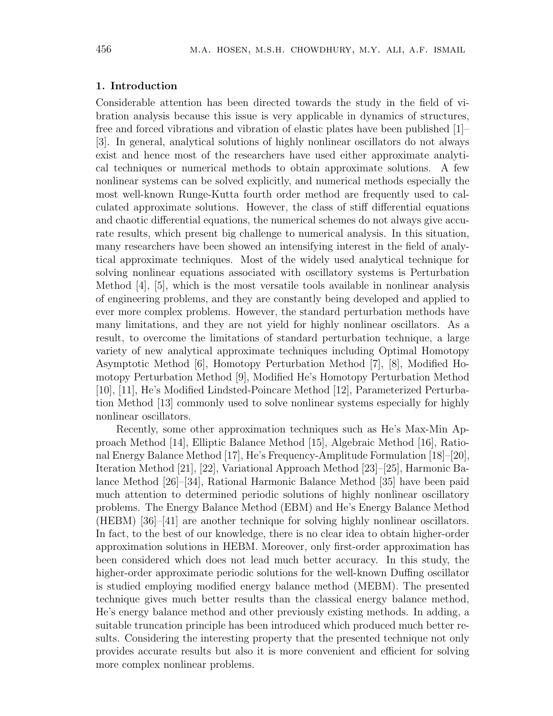### 1. Introduction

Considerable attention has been directed towards the study in the field of vibration analysis because this issue is very applicable in dynamics of structures, free and forced vibrations and vibration of elastic plates have been published [1]– [3]. In general, analytical solutions of highly nonlinear oscillators do not always exist and hence most of the researchers have used either approximate analytical techniques or numerical methods to obtain approximate solutions. A few nonlinear systems can be solved explicitly, and numerical methods especially the most well-known Runge-Kutta fourth order method are frequently used to calculated approximate solutions. However, the class of stiff differential equations and chaotic differential equations, the numerical schemes do not always give accurate results, which present big challenge to numerical analysis. In this situation, many researchers have been showed an intensifying interest in the field of analytical approximate techniques. Most of the widely used analytical technique for solving nonlinear equations associated with oscillatory systems is Perturbation Method [4], [5], which is the most versatile tools available in nonlinear analysis of engineering problems, and they are constantly being developed and applied to ever more complex problems. However, the standard perturbation methods have many limitations, and they are not yield for highly nonlinear oscillators. As a result, to overcome the limitations of standard perturbation technique, a large variety of new analytical approximate techniques including Optimal Homotopy Asymptotic Method [6], Homotopy Perturbation Method [7], [8], Modified Homotopy Perturbation Method [9], Modified He's Homotopy Perturbation Method [10], [11], He's Modified Lindsted-Poincare Method [12], Parameterized Perturbation Method [13] commonly used to solve nonlinear systems especially for highly nonlinear oscillators.

Recently, some other approximation techniques such as He's Max-Min Approach Method [14], Elliptic Balance Method [15], Algebraic Method [16], Rational Energy Balance Method [17], He's Frequency-Amplitude Formulation [18]–[20], Iteration Method [21], [22], Variational Approach Method [23]–[25], Harmonic Balance Method [26]–[34], Rational Harmonic Balance Method [35] have been paid much attention to determined periodic solutions of highly nonlinear oscillatory problems. The Energy Balance Method (EBM) and He's Energy Balance Method (HEBM) [36]–[41] are another technique for solving highly nonlinear oscillators. In fact, to the best of our knowledge, there is no clear idea to obtain higher-order approximation solutions in HEBM. Moreover, only first-order approximation has been considered which does not lead much better accuracy. In this study, the higher-order approximate periodic solutions for the well-known Duffing oscillator is studied employing modified energy balance method (MEBM). The presented technique gives much better results than the classical energy balance method, He's energy balance method and other previously existing methods. In adding, a suitable truncation principle has been introduced which produced much better results. Considering the interesting property that the presented technique not only provides accurate results but also it is more convenient and efficient for solving more complex nonlinear problems.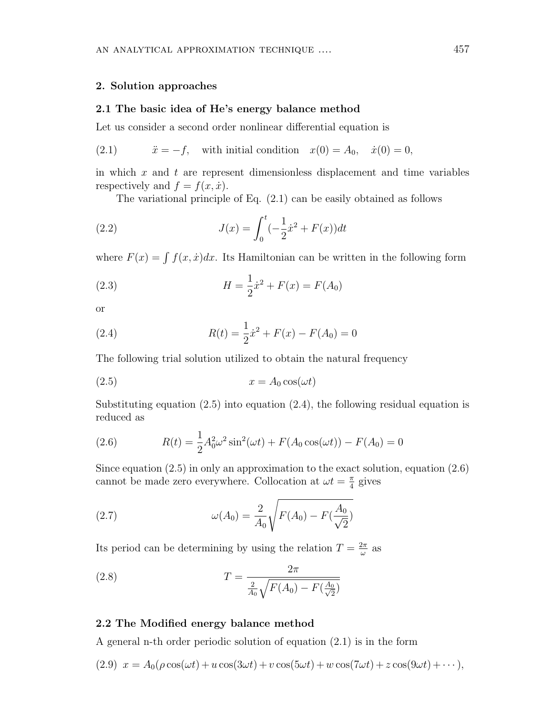#### 2. Solution approaches

### 2.1 The basic idea of He's energy balance method

Let us consider a second order nonlinear differential equation is

(2.1) 
$$
\ddot{x} = -f
$$
, with initial condition  $x(0) = A_0$ ,  $\dot{x}(0) = 0$ ,

in which  $x$  and  $t$  are represent dimensionless displacement and time variables respectively and  $f = f(x, \dot{x})$ .

The variational principle of Eq. (2.1) can be easily obtained as follows

(2.2) 
$$
J(x) = \int_0^t (-\frac{1}{2}\dot{x}^2 + F(x))dt
$$

where  $F(x) = \int f(x, \dot{x})dx$ . Its Hamiltonian can be written in the following form

(2.3) 
$$
H = \frac{1}{2}\dot{x}^2 + F(x) = F(A_0)
$$

or

(2.4) 
$$
R(t) = \frac{1}{2}\dot{x}^2 + F(x) - F(A_0) = 0
$$

The following trial solution utilized to obtain the natural frequency

$$
(2.5) \t\t x = A_0 \cos(\omega t)
$$

Substituting equation  $(2.5)$  into equation  $(2.4)$ , the following residual equation is reduced as

(2.6) 
$$
R(t) = \frac{1}{2}A_0^2 \omega^2 \sin^2(\omega t) + F(A_0 \cos(\omega t)) - F(A_0) = 0
$$

Since equation (2.5) in only an approximation to the exact solution, equation (2.6) cannot be made zero everywhere. Collocation at  $\omega t = \frac{\pi}{4}$  $\frac{\pi}{4}$  gives

(2.7) 
$$
\omega(A_0) = \frac{2}{A_0} \sqrt{F(A_0) - F(\frac{A_0}{\sqrt{2}})}
$$

Its period can be determining by using the relation  $T = \frac{2\pi}{\omega}$  $rac{2\pi}{\omega}$  as

(2.8) 
$$
T = \frac{2\pi}{\frac{2}{A_0}\sqrt{F(A_0) - F(\frac{A_0}{\sqrt{2}})}}
$$

## 2.2 The Modified energy balance method

A general n-th order periodic solution of equation (2.1) is in the form

$$
(2.9) \t x = A_0(\rho \cos(\omega t) + u \cos(3\omega t) + v \cos(5\omega t) + w \cos(7\omega t) + z \cos(9\omega t) + \cdots),
$$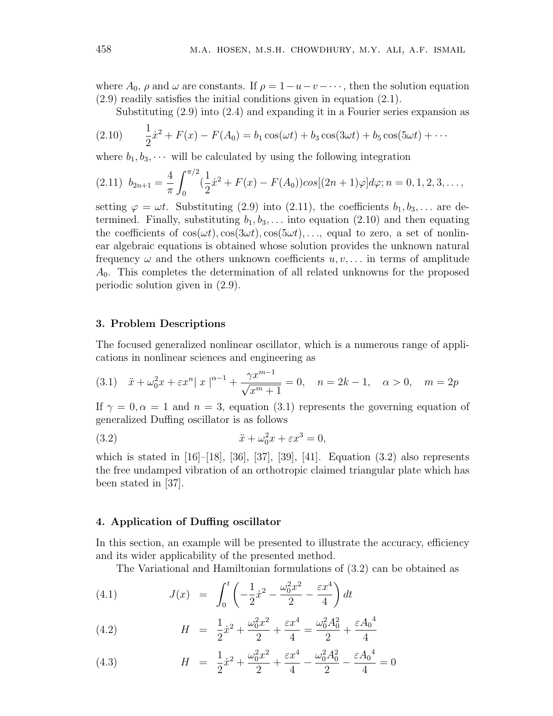where  $A_0$ ,  $\rho$  and  $\omega$  are constants. If  $\rho = 1-u-v-\cdots$ , then the solution equation (2.9) readily satisfies the initial conditions given in equation (2.1).

Substituting (2.9) into (2.4) and expanding it in a Fourier series expansion as

(2.10) 
$$
\frac{1}{2}\dot{x}^2 + F(x) - F(A_0) = b_1 \cos(\omega t) + b_3 \cos(3\omega t) + b_5 \cos(5\omega t) + \cdots
$$

where  $b_1, b_3, \cdots$  will be calculated by using the following integration

$$
(2.11) \ \ b_{2n+1} = \frac{4}{\pi} \int_0^{\pi/2} (\frac{1}{2}\dot{x}^2 + F(x) - F(A_0)) \cos[(2n+1)\varphi] d\varphi; n = 0, 1, 2, 3, \dots,
$$

setting  $\varphi = \omega t$ . Substituting (2.9) into (2.11), the coefficients  $b_1, b_3, \ldots$  are determined. Finally, substituting  $b_1, b_3, \ldots$  into equation (2.10) and then equating the coefficients of  $cos(\omega t), cos(3\omega t), cos(5\omega t), \ldots$ , equal to zero, a set of nonlinear algebraic equations is obtained whose solution provides the unknown natural frequency  $\omega$  and the others unknown coefficients  $u, v, \ldots$  in terms of amplitude  $A_0$ . This completes the determination of all related unknowns for the proposed periodic solution given in (2.9).

#### 3. Problem Descriptions

The focused generalized nonlinear oscillator, which is a numerous range of applications in nonlinear sciences and engineering as

(3.1) 
$$
\ddot{x} + \omega_0^2 x + \varepsilon x^n |x|^{n-1} + \frac{\gamma x^{m-1}}{\sqrt{x^m + 1}} = 0, \quad n = 2k - 1, \quad \alpha > 0, \quad m = 2p
$$

If  $\gamma = 0, \alpha = 1$  and  $n = 3$ , equation (3.1) represents the governing equation of generalized Duffing oscillator is as follows

(3.2) 
$$
\ddot{x} + \omega_0^2 x + \varepsilon x^3 = 0,
$$

which is stated in  $[16]$ – $[18]$ ,  $[36]$ ,  $[37]$ ,  $[39]$ ,  $[41]$ . Equation  $(3.2)$  also represents the free undamped vibration of an orthotropic claimed triangular plate which has been stated in [37].

### 4. Application of Duffing oscillator

In this section, an example will be presented to illustrate the accuracy, efficiency and its wider applicability of the presented method.

The Variational and Hamiltonian formulations of (3.2) can be obtained as

(4.1) 
$$
J(x) = \int_0^t \left( -\frac{1}{2}\dot{x}^2 - \frac{\omega_0^2 x^2}{2} - \frac{\varepsilon x^4}{4} \right) dt
$$

(4.2) 
$$
H = \frac{1}{2}\dot{x}^2 + \frac{\omega_0^2 x^2}{2} + \frac{\varepsilon x^4}{4} = \frac{\omega_0^2 A_0^2}{2} + \frac{\varepsilon A_0^4}{4}
$$

(4.3) 
$$
H = \frac{1}{2}\dot{x}^2 + \frac{\omega_0^2 x^2}{2} + \frac{\varepsilon x^4}{4} - \frac{\omega_0^2 A_0^2}{2} - \frac{\varepsilon A_0^4}{4} = 0
$$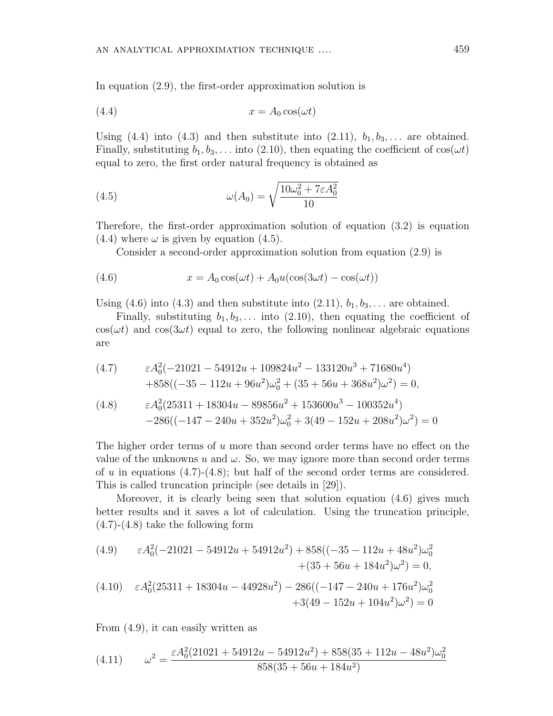In equation (2.9), the first-order approximation solution is

$$
(4.4) \t\t x = A_0 \cos(\omega t)
$$

Using (4.4) into (4.3) and then substitute into  $(2.11)$ ,  $b_1, b_3, \ldots$  are obtained. Finally, substituting  $b_1, b_3, \ldots$  into (2.10), then equating the coefficient of  $cos(\omega t)$ equal to zero, the first order natural frequency is obtained as

(4.5) 
$$
\omega(A_0) = \sqrt{\frac{10\omega_0^2 + 7\varepsilon A_0^2}{10}}
$$

Therefore, the first-order approximation solution of equation (3.2) is equation  $(4.4)$  where  $\omega$  is given by equation  $(4.5)$ .

Consider a second-order approximation solution from equation (2.9) is

(4.6) 
$$
x = A_0 \cos(\omega t) + A_0 u(\cos(3\omega t) - \cos(\omega t))
$$

Using (4.6) into (4.3) and then substitute into (2.11),  $b_1, b_3, \ldots$  are obtained.

Finally, substituting  $b_1, b_3, \ldots$  into (2.10), then equating the coefficient of  $\cos(\omega t)$  and  $\cos(3\omega t)$  equal to zero, the following nonlinear algebraic equations are

(4.7) 
$$
\varepsilon A_0^2(-21021 - 54912u + 109824u^2 - 133120u^3 + 71680u^4) + 858((-35 - 112u + 96u^2)\omega_0^2 + (35 + 56u + 368u^2)\omega^2) = 0,
$$

(4.8) 
$$
\varepsilon A_0^2 (25311 + 18304u - 89856u^2 + 153600u^3 - 100352u^4) - 286((-147 - 240u + 352u^2)\omega_0^2 + 3(49 - 152u + 208u^2)\omega^2) = 0
$$

The higher order terms of u more than second order terms have no effect on the value of the unknowns u and  $\omega$ . So, we may ignore more than second order terms of u in equations  $(4.7)-(4.8)$ ; but half of the second order terms are considered. This is called truncation principle (see details in [29]).

Moreover, it is clearly being seen that solution equation (4.6) gives much better results and it saves a lot of calculation. Using the truncation principle,  $(4.7)-(4.8)$  take the following form

$$
(4.9) \qquad \varepsilon A_0^2(-21021 - 54912u + 54912u^2) + 858((-35 - 112u + 48u^2)\omega_0^2 + (35 + 56u + 184u^2)\omega^2) = 0,
$$
  

$$
(4.10) \qquad \varepsilon A_0^2(25311 + 18304u - 44928u^2) - 286((-147 - 240u + 176u^2)\omega_0^2 + 3(49 - 152u + 104u^2)\omega^2) = 0
$$

From (4.9), it can easily written as

(4.11) 
$$
\omega^2 = \frac{\varepsilon A_0^2 (21021 + 54912u - 54912u^2) + 858(35 + 112u - 48u^2)\omega_0^2}{858(35 + 56u + 184u^2)}
$$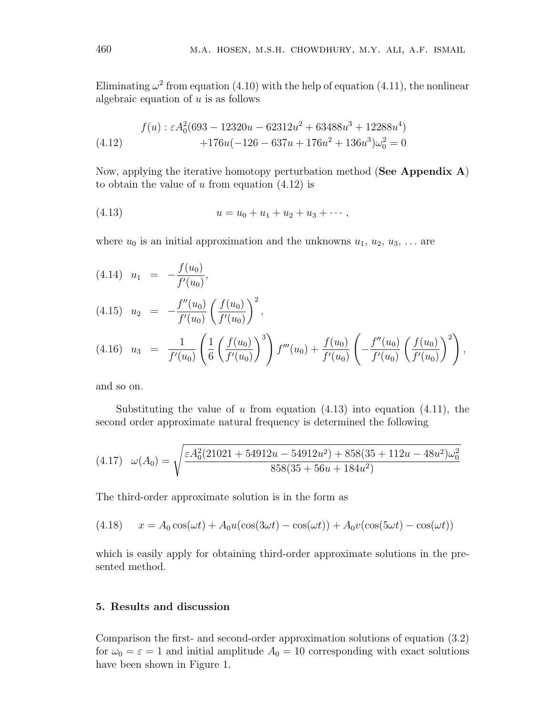Eliminating  $\omega^2$  from equation (4.10) with the help of equation (4.11), the nonlinear algebraic equation of  $u$  is as follows

(4.12) 
$$
f(u) : \varepsilon A_0^2 (693 - 12320u - 62312u^2 + 63488u^3 + 12288u^4) + 176u(-126 - 637u + 176u^2 + 136u^3)\omega_0^2 = 0
$$

Now, applying the iterative homotopy perturbation method (See Appendix A) to obtain the value of  $u$  from equation  $(4.12)$  is

$$
(4.13) \t u = u_0 + u_1 + u_2 + u_3 + \cdots,
$$

where  $u_0$  is an initial approximation and the unknowns  $u_1, u_2, u_3, \ldots$  are

(4.14) 
$$
u_1 = -\frac{f(u_0)}{f'(u_0)},
$$
  
\n(4.15)  $u_2 = -\frac{f''(u_0)}{f'(u_0)} \left(\frac{f(u_0)}{f'(u_0)}\right)^2,$   
\n(4.16)  $u_3 = \frac{1}{f'(u_0)} \left(\frac{1}{6} \left(\frac{f(u_0)}{f'(u_0)}\right)^3\right) f'''(u_0) + \frac{f(u_0)}{f'(u_0)} \left(\frac{f''(u_0)}{f'(u_0)} \left(\frac{f(u_0)}{f'(u_0)}\right)^2\right),$ 

and so on.

Substituting the value of u from equation  $(4.13)$  into equation  $(4.11)$ , the second order approximate natural frequency is determined the following

$$
(4.17) \quad \omega(A_0) = \sqrt{\frac{\varepsilon A_0^2 (21021 + 54912u - 54912u^2) + 858(35 + 112u - 48u^2)\omega_0^2}{858(35 + 56u + 184u^2)}}
$$

The third-order approximate solution is in the form as

$$
(4.18) \t x = A_0 \cos(\omega t) + A_0 u(\cos(3\omega t) - \cos(\omega t)) + A_0 v(\cos(5\omega t) - \cos(\omega t))
$$

which is easily apply for obtaining third-order approximate solutions in the presented method.

# 5. Results and discussion

Comparison the first- and second-order approximation solutions of equation (3.2) for  $\omega_0 = \varepsilon = 1$  and initial amplitude  $A_0 = 10$  corresponding with exact solutions have been shown in Figure 1.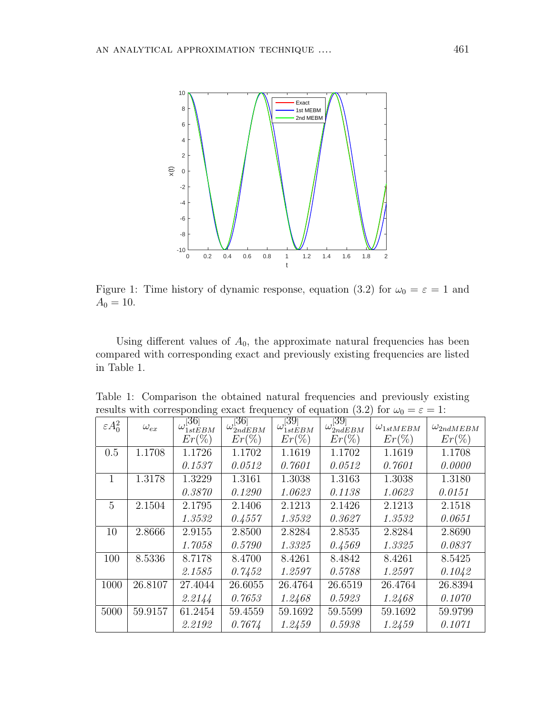

Figure 1: Time history of dynamic response, equation (3.2) for  $\omega_0 = \varepsilon = 1$  and  $A_0 = 10$ .

Using different values of  $A_0$ , the approximate natural frequencies has been compared with corresponding exact and previously existing frequencies are listed in Table 1.

| results with corresponding exact frequency or equation (0.4) for $\omega_0 = c = 1$ . |               |                          |                          |                          |                          |                    |                    |
|---------------------------------------------------------------------------------------|---------------|--------------------------|--------------------------|--------------------------|--------------------------|--------------------|--------------------|
| $\varepsilon A_0^2$                                                                   | $\omega_{ex}$ | $\omega_{1stEBM}^{[36]}$ | $\omega_{2ndEBM}^{[36]}$ | $\omega_{1stEBM}^{[39]}$ | $\omega_{2ndEBM}^{[39]}$ | $\omega_{1stMEBM}$ | $\omega_{2ndMEBM}$ |
|                                                                                       |               | $Er(\%)$                 | $Er(\%)$                 | $Er(\%)$                 | $Er(\%)$                 | $Er(\%)$           | $Er(\%)$           |
| 0.5                                                                                   | 1.1708        | 1.1726                   | 1.1702                   | 1.1619                   | 1.1702                   | 1.1619             | 1.1708             |
|                                                                                       |               | 0.1537                   | 0.0512                   | 0.7601                   | 0.0512                   | 0.7601             | 0.0000             |
|                                                                                       | 1.3178        | 1.3229                   | 1.3161                   | 1.3038                   | 1.3163                   | 1.3038             | 1.3180             |
|                                                                                       |               | 0.3870                   | 0.1290                   | 1.0623                   | 0.1138                   | 1.0623             | 0.0151             |
| 5                                                                                     | 2.1504        | 2.1795                   | 2.1406                   | 2.1213                   | 2.1426                   | 2.1213             | 2.1518             |
|                                                                                       |               | 1.3532                   | 0.4557                   | 1.3532                   | 0.3627                   | 1.3532             | 0.0651             |
| 10                                                                                    | 2.8666        | 2.9155                   | 2.8500                   | 2.8284                   | 2.8535                   | 2.8284             | 2.8690             |
|                                                                                       |               | 1.7058                   | 0.5790                   | 1.3325                   | 0.4569                   | 1.3325             | 0.0837             |
| 100                                                                                   | 8.5336        | 8.7178                   | 8.4700                   | 8.4261                   | 8.4842                   | 8.4261             | 8.5425             |
|                                                                                       |               | 2.1585                   | 0.7452                   | 1.2597                   | 0.5788                   | 1.2597             | 0.1042             |
| 1000                                                                                  | 26.8107       | 27.4044                  | 26.6055                  | 26.4764                  | 26.6519                  | 26.4764            | 26.8394            |
|                                                                                       |               | 2.2144                   | 0.7653                   | 1.2468                   | 0.5923                   | 1.2468             | 0.1070             |
| 5000                                                                                  | 59.9157       | 61.2454                  | 59.4559                  | 59.1692                  | 59.5599                  | 59.1692            | 59.9799            |
|                                                                                       |               | 2.2192                   | 0.7674                   | 1.2459                   | 0.5938                   | 1.2459             | 0.1071             |

Table 1: Comparison the obtained natural frequencies and previously existing results with corresponding exact frequency of equation (3.2) for  $\omega_0 = \epsilon = 1$ :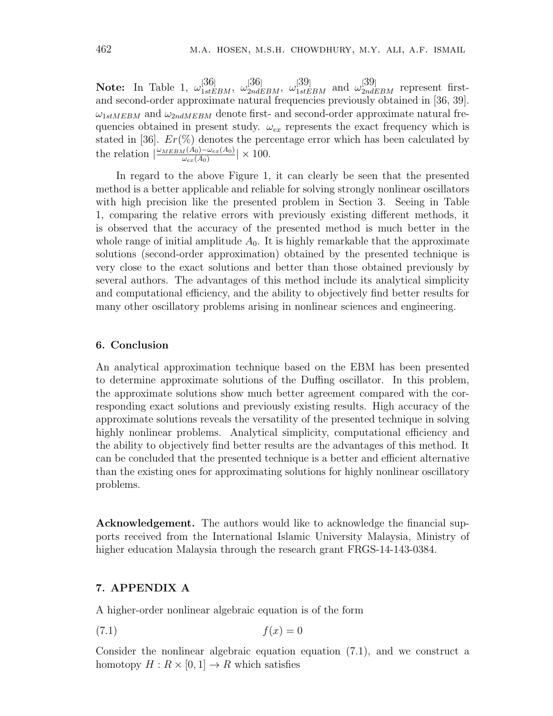**Note:** In Table 1,  $\omega_{1stEBM}^{[36]}$ ,  $\omega_{2ndEBM}^{[36]}$ ,  $\omega_{1stEBM}^{[39]}$  and  $\omega_{2ndEBM}^{[39]}$  represent firstand second-order approximate natural frequencies previously obtained in [36, 39].  $\omega_{1stMEBM}$  and  $\omega_{2ndMEBM}$  denote first- and second-order approximate natural frequencies obtained in present study.  $\omega_{ex}$  represents the exact frequency which is stated in [36].  $Er(\%)$  denotes the percentage error which has been calculated by the relation  $\frac{\omega_{MEM}(A_0)-\omega_{ex}(A_0)}{\omega_{ax}(A_0)}$  $\frac{d(A_0)-\omega_{ex}(A_0)}{\omega_{ex}(A_0)}$   $\times$  100.

In regard to the above Figure 1, it can clearly be seen that the presented method is a better applicable and reliable for solving strongly nonlinear oscillators with high precision like the presented problem in Section 3. Seeing in Table 1, comparing the relative errors with previously existing different methods, it is observed that the accuracy of the presented method is much better in the whole range of initial amplitude  $A_0$ . It is highly remarkable that the approximate solutions (second-order approximation) obtained by the presented technique is very close to the exact solutions and better than those obtained previously by several authors. The advantages of this method include its analytical simplicity and computational efficiency, and the ability to objectively find better results for many other oscillatory problems arising in nonlinear sciences and engineering.

## 6. Conclusion

An analytical approximation technique based on the EBM has been presented to determine approximate solutions of the Duffing oscillator. In this problem, the approximate solutions show much better agreement compared with the corresponding exact solutions and previously existing results. High accuracy of the approximate solutions reveals the versatility of the presented technique in solving highly nonlinear problems. Analytical simplicity, computational efficiency and the ability to objectively find better results are the advantages of this method. It can be concluded that the presented technique is a better and efficient alternative than the existing ones for approximating solutions for highly nonlinear oscillatory problems.

Acknowledgement. The authors would like to acknowledge the financial supports received from the International Islamic University Malaysia, Ministry of higher education Malaysia through the research grant FRGS-14-143-0384.

# 7. APPENDIX A

A higher-order nonlinear algebraic equation is of the form

$$
(7.1) \t\t f(x) = 0
$$

Consider the nonlinear algebraic equation equation (7.1), and we construct a homotopy  $H: R \times [0,1] \to R$  which satisfies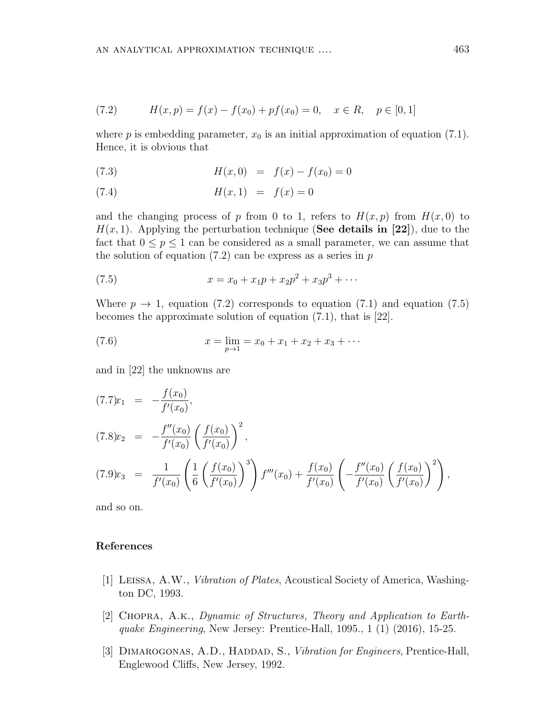$$
(7.2) \t\t\t H(x,p) = f(x) - f(x_0) + pf(x_0) = 0, \quad x \in R, \quad p \in [0,1]
$$

where p is embedding parameter,  $x_0$  is an initial approximation of equation (7.1). Hence, it is obvious that

(7.3) 
$$
H(x,0) = f(x) - f(x_0) = 0
$$

(7.4) 
$$
H(x,1) = f(x) = 0
$$

and the changing process of p from 0 to 1, refers to  $H(x, p)$  from  $H(x, 0)$  to  $H(x, 1)$ . Applying the perturbation technique (See details in [22]), due to the fact that  $0 \le p \le 1$  can be considered as a small parameter, we can assume that the solution of equation  $(7.2)$  can be express as a series in  $p$ 

(7.5) 
$$
x = x_0 + x_1 p + x_2 p^2 + x_3 p^3 + \cdots
$$

Where  $p \rightarrow 1$ , equation (7.2) corresponds to equation (7.1) and equation (7.5) becomes the approximate solution of equation (7.1), that is [22].

(7.6) 
$$
x = \lim_{p \to 1} = x_0 + x_1 + x_2 + x_3 + \cdots
$$

and in [22] the unknowns are

$$
(7.7)x_1 = -\frac{f(x_0)}{f'(x_0)},
$$
  
\n
$$
(7.8)x_2 = -\frac{f''(x_0)}{f'(x_0)} \left(\frac{f(x_0)}{f'(x_0)}\right)^2,
$$
  
\n
$$
(7.9)x_3 = \frac{1}{f'(x_0)} \left(\frac{1}{6} \left(\frac{f(x_0)}{f'(x_0)}\right)^3\right) f'''(x_0) + \frac{f(x_0)}{f'(x_0)} \left(-\frac{f''(x_0)}{f'(x_0)} \left(\frac{f(x_0)}{f'(x_0)}\right)^2\right),
$$

and so on.

## References

- [1] Leissa, A.W., Vibration of Plates, Acoustical Society of America, Washington DC, 1993.
- [2] Chopra, A.k., Dynamic of Structures, Theory and Application to Earthquake Engineering, New Jersey: Prentice-Hall, 1095., 1 (1) (2016), 15-25.
- [3] DIMAROGONAS, A.D., HADDAD, S., Vibration for Engineers, Prentice-Hall, Englewood Cliffs, New Jersey, 1992.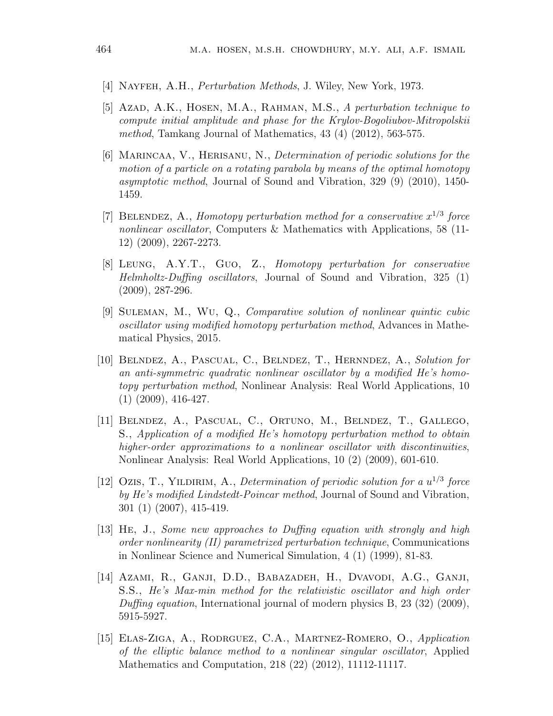- [4] Nayfeh, A.H., Perturbation Methods, J. Wiley, New York, 1973.
- [5] Azad, A.K., HOSEN, M.A., RAHMAN, M.S., A perturbation technique to compute initial amplitude and phase for the Krylov-Bogoliubov-Mitropolskii method, Tamkang Journal of Mathematics, 43 (4) (2012), 563-575.
- [6] Marincaa, V., Herisanu, N., Determination of periodic solutions for the motion of a particle on a rotating parabola by means of the optimal homotopy asymptotic method, Journal of Sound and Vibration, 329 (9) (2010), 1450- 1459.
- [7] BELENDEZ, A., Homotopy perturbation method for a conservative  $x^{1/3}$  force nonlinear oscillator, Computers & Mathematics with Applications, 58 (11- 12) (2009), 2267-2273.
- [8] Leung, A.Y.T., Guo, Z., Homotopy perturbation for conservative Helmholtz-Duffing oscillators, Journal of Sound and Vibration, 325 (1) (2009), 287-296.
- [9] Suleman, M., Wu, Q., Comparative solution of nonlinear quintic cubic oscillator using modified homotopy perturbation method, Advances in Mathematical Physics, 2015.
- [10] Belndez, A., Pascual, C., Belndez, T., Hernndez, A., Solution for an anti-symmetric quadratic nonlinear oscillator by a modified He's homotopy perturbation method, Nonlinear Analysis: Real World Applications, 10 (1) (2009), 416-427.
- [11] Belndez, A., Pascual, C., Ortuno, M., Belndez, T., Gallego, S., Application of a modified He's homotopy perturbation method to obtain higher-order approximations to a nonlinear oscillator with discontinuities, Nonlinear Analysis: Real World Applications, 10 (2) (2009), 601-610.
- [12] Ozis, T., YILDIRIM, A., Determination of periodic solution for a  $u^{1/3}$  force by He's modified Lindstedt-Poincar method, Journal of Sound and Vibration, 301 (1) (2007), 415-419.
- [13] He, J., Some new approaches to Duffing equation with strongly and high order nonlinearity (II) parametrized perturbation technique, Communications in Nonlinear Science and Numerical Simulation, 4 (1) (1999), 81-83.
- [14] Azami, R., Ganji, D.D., Babazadeh, H., Dvavodi, A.G., Ganji, S.S., He's Max-min method for the relativistic oscillator and high order Duffing equation, International journal of modern physics B, 23 (32) (2009), 5915-5927.
- [15] ELAS-ZIGA, A., RODRGUEZ, C.A., MARTNEZ-ROMERO, O., Application of the elliptic balance method to a nonlinear singular oscillator, Applied Mathematics and Computation, 218 (22) (2012), 11112-11117.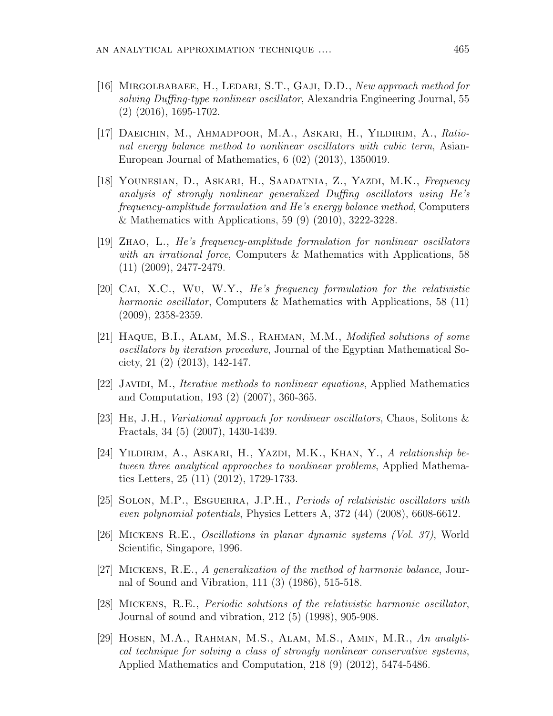- [16] Mirgolbabaee, H., Ledari, S.T., Gaji, D.D., New approach method for solving Duffing-type nonlinear oscillator, Alexandria Engineering Journal, 55 (2) (2016), 1695-1702.
- [17] DAEICHIN, M., AHMADPOOR, M.A., ASKARI, H., YILDIRIM, A., Rational energy balance method to nonlinear oscillators with cubic term, Asian-European Journal of Mathematics, 6 (02) (2013), 1350019.
- [18] YOUNESIAN, D., ASKARI, H., SAADATNIA, Z., YAZDI, M.K., Frequency analysis of strongly nonlinear generalized Duffing oscillators using He's frequency-amplitude formulation and He's energy balance method, Computers & Mathematics with Applications, 59 (9) (2010), 3222-3228.
- [19] Zhao, L., He's frequency-amplitude formulation for nonlinear oscillators with an irrational force, Computers & Mathematics with Applications, 58 (11) (2009), 2477-2479.
- [20] Cai, X.C., Wu, W.Y., He's frequency formulation for the relativistic harmonic oscillator, Computers & Mathematics with Applications, 58 (11) (2009), 2358-2359.
- [21] Haque, B.I., Alam, M.S., Rahman, M.M., Modified solutions of some oscillators by iteration procedure, Journal of the Egyptian Mathematical Society, 21 (2) (2013), 142-147.
- [22] JAVIDI, M., *Iterative methods to nonlinear equations*, Applied Mathematics and Computation, 193 (2) (2007), 360-365.
- [23] He, J.H., Variational approach for nonlinear oscillators, Chaos, Solitons & Fractals, 34 (5) (2007), 1430-1439.
- [24] YILDIRIM, A., ASKARI, H., YAZDI, M.K., KHAN, Y., A relationship between three analytical approaches to nonlinear problems, Applied Mathematics Letters, 25 (11) (2012), 1729-1733.
- [25] SOLON, M.P., ESGUERRA, J.P.H., *Periods of relativistic oscillators with* even polynomial potentials, Physics Letters A, 372 (44) (2008), 6608-6612.
- [26] Mickens R.E., Oscillations in planar dynamic systems (Vol. 37), World Scientific, Singapore, 1996.
- [27] Mickens, R.E., A generalization of the method of harmonic balance, Journal of Sound and Vibration, 111 (3) (1986), 515-518.
- [28] Mickens, R.E., Periodic solutions of the relativistic harmonic oscillator, Journal of sound and vibration, 212 (5) (1998), 905-908.
- [29] Hosen, M.A., Rahman, M.S., Alam, M.S., Amin, M.R., An analytical technique for solving a class of strongly nonlinear conservative systems, Applied Mathematics and Computation, 218 (9) (2012), 5474-5486.